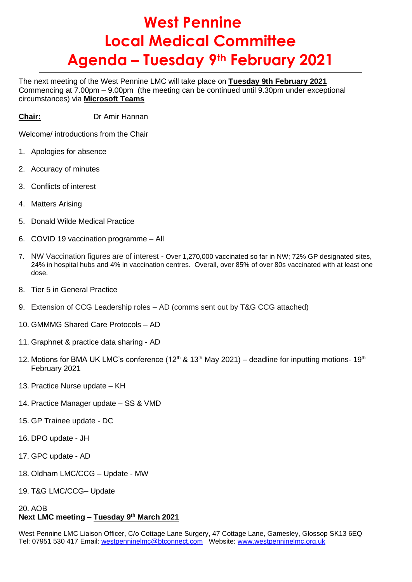# **West Pennine Local Medical Committee Agenda – Tuesday 9th February 2021**

The next meeting of the West Pennine LMC will take place on **Tuesday 9th February 2021** Commencing at 7.00pm – 9.00pm (the meeting can be continued until 9.30pm under exceptional circumstances) via **Microsoft Teams**

**Chair:** Dr Amir Hannan

Welcome/ introductions from the Chair

- 1. Apologies for absence
- 2. Accuracy of minutes
- 3. Conflicts of interest
- 4. Matters Arising
- 5. Donald Wilde Medical Practice
- 6. COVID 19 vaccination programme All
- 7. NW Vaccination figures are of interest Over 1,270,000 vaccinated so far in NW; 72% GP designated sites, 24% in hospital hubs and 4% in vaccination centres. Overall, over 85% of over 80s vaccinated with at least one dose.
- 8. Tier 5 in General Practice
- 9. Extension of CCG Leadership roles AD (comms sent out by T&G CCG attached)
- 10. GMMMG Shared Care Protocols AD
- 11. Graphnet & practice data sharing AD
- 12. Motions for BMA UK LMC's conference (12<sup>th</sup> & 13<sup>th</sup> May 2021) deadline for inputting motions- 19<sup>th</sup> February 2021
- 13. Practice Nurse update KH
- 14. Practice Manager update SS & VMD
- 15. GP Trainee update DC
- 16. DPO update JH
- 17. GPC update AD
- 18. Oldham LMC/CCG Update MW
- 19. T&G LMC/CCG– Update

# 20. AOB **Next LMC meeting – Tuesday 9 th March 2021**

West Pennine LMC Liaison Officer, C/o Cottage Lane Surgery, 47 Cottage Lane, Gamesley, Glossop SK13 6EQ Tel: 07951 530 417 Email: [westpenninelmc@btconnect.com](mailto:westpenninelmc@btconnect.com) Website: [www.westpenninelmc.org.uk](http://www.westpenninelmc.org.uk/)